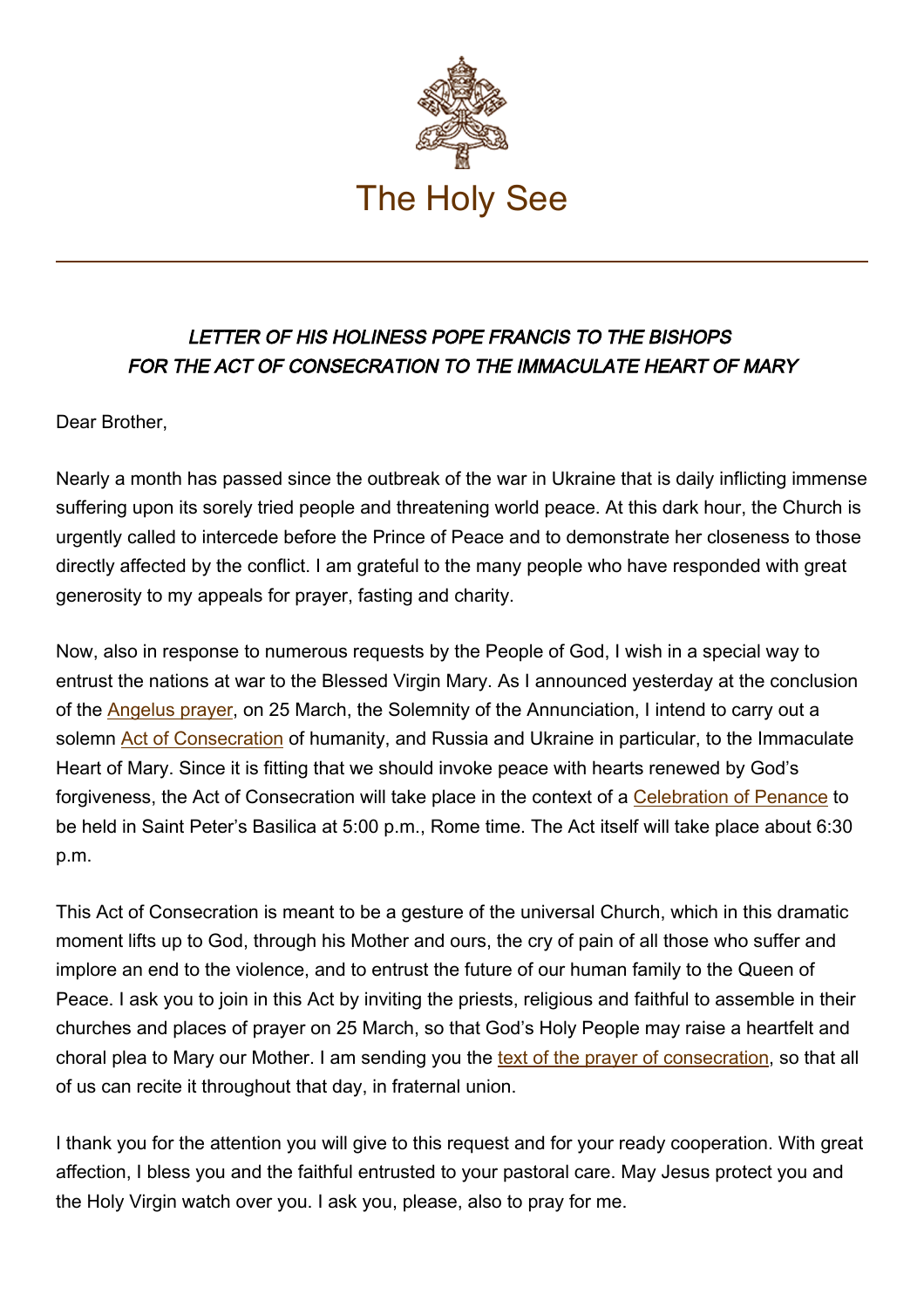

## LETTER OF HIS HOLINESS POPE FRANCIS TO THE BISHOPS FOR THE ACT OF CONSECRATION TO THE IMMACULATE HEART OF MARY

## Dear Brother,

Nearly a month has passed since the outbreak of the war in Ukraine that is daily inflicting immense suffering upon its sorely tried people and threatening world peace. At this dark hour, the Church is urgently called to intercede before the Prince of Peace and to demonstrate her closeness to those directly affected by the conflict. I am grateful to the many people who have responded with great generosity to my appeals for prayer, fasting and charity.

Now, also in response to numerous requests by the People of God, I wish in a special way to entrust the nations at war to the Blessed Virgin Mary. As I announced yesterday at the conclusion of the [Angelus prayer,](https://www.vatican.va/content/francesco/en/angelus/2022/documents/20220320-angelus.html) on 25 March, the Solemnity of the Annunciation, I intend to carry out a solemn [Act of Consecration](https://www.vatican.va/content/francesco/en/events/event.dir.html/content/vaticanevents/en/2022/3/23/atto-consacrazione-cuore-immacolato-maria.html) of humanity, and Russia and Ukraine in particular, to the Immaculate Heart of Mary. Since it is fitting that we should invoke peace with hearts renewed by God's forgiveness, the Act of Consecration will take place in the context of a [Celebration of Penance](https://www.vatican.va/content/francesco/en/events/event.dir.html/content/vaticanevents/en/2022/3/25/celebrazione-penitenza.html) to be held in Saint Peter's Basilica at 5:00 p.m., Rome time. The Act itself will take place about 6:30 p.m.

This Act of Consecration is meant to be a gesture of the universal Church, which in this dramatic moment lifts up to God, through his Mother and ours, the cry of pain of all those who suffer and implore an end to the violence, and to entrust the future of our human family to the Queen of Peace. I ask you to join in this Act by inviting the priests, religious and faithful to assemble in their churches and places of prayer on 25 March, so that God's Holy People may raise a heartfelt and choral plea to Mary our Mother. I am sending you the [text of the prayer of consecration](https://www.vatican.va/content/francesco/en/prayers/documents/20220325-atto-consacrazione-cuoredimaria.html), so that all of us can recite it throughout that day, in fraternal union.

I thank you for the attention you will give to this request and for your ready cooperation. With great affection, I bless you and the faithful entrusted to your pastoral care. May Jesus protect you and the Holy Virgin watch over you. I ask you, please, also to pray for me.